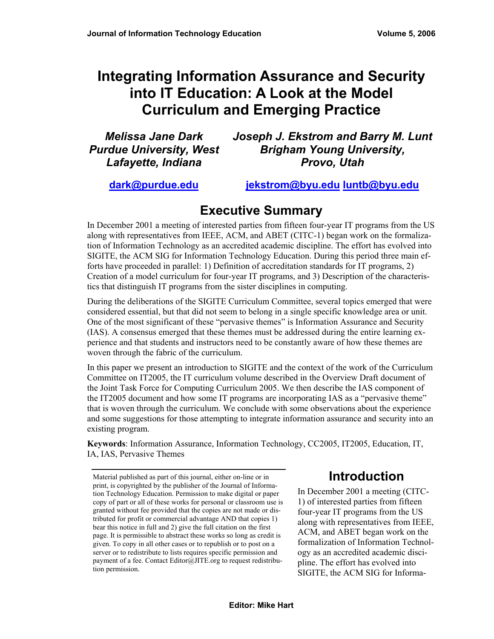# **Integrating Information Assurance and Security into IT Education: A Look at the Model Curriculum and Emerging Practice**

| <b>Melissa Jane Dark</b>       | Joseph J. Ekstrom and Barry M. Lunt |
|--------------------------------|-------------------------------------|
| <b>Purdue University, West</b> | <b>Brigham Young University,</b>    |
| Lafayette, Indiana             | Provo, Utah                         |

**[dark@purdue.edu](mailto:dark@purdue.edu)**

**[jekstrom@byu.edu](mailto:jekstrom@byu.edu) [luntb@byu.edu](mailto:luntb@byu.edu)**

# **Executive Summary**

In December 2001 a meeting of interested parties from fifteen four-year IT programs from the US along with representatives from IEEE, ACM, and ABET (CITC-1) began work on the formalization of Information Technology as an accredited academic discipline. The effort has evolved into SIGITE, the ACM SIG for Information Technology Education. During this period three main efforts have proceeded in parallel: 1) Definition of accreditation standards for IT programs, 2) Creation of a model curriculum for four-year IT programs, and 3) Description of the characteristics that distinguish IT programs from the sister disciplines in computing.

During the deliberations of the SIGITE Curriculum Committee, several topics emerged that were considered essential, but that did not seem to belong in a single specific knowledge area or unit. One of the most significant of these "pervasive themes" is Information Assurance and Security (IAS). A consensus emerged that these themes must be addressed during the entire learning experience and that students and instructors need to be constantly aware of how these themes are woven through the fabric of the curriculum.

In this paper we present an introduction to SIGITE and the context of the work of the Curriculum Committee on IT2005, the IT curriculum volume described in the Overview Draft document of the Joint Task Force for Computing Curriculum 2005. We then describe the IAS component of the IT2005 document and how some IT programs are incorporating IAS as a "pervasive theme" that is woven through the curriculum. We conclude with some observations about the experience and some suggestions for those attempting to integrate information assurance and security into an existing program.

**Keywords**: Information Assurance, Information Technology, CC2005, IT2005, Education, IT, IA, IAS, Pervasive Themes

# **Introduction**

In December 2001 a meeting (CITC-1) of interested parties from fifteen four-year IT programs from the US along with representatives from IEEE, ACM, and ABET began work on the formalization of Information Technology as an accredited academic discipline. The effort has evolved into SIGITE, the ACM SIG for Informa-

Material published as part of this journal, either on-line or in print, is copyrighted by the publisher of the Journal of Information Technology Education. Permission to make digital or paper copy of part or all of these works for personal or classroom use is granted without fee provided that the copies are not made or distributed for profit or commercial advantage AND that copies 1) bear this notice in full and 2) give the full citation on the first page. It is permissible to abstract these works so long as credit is given. To copy in all other cases or to republish or to post on a server or to redistribute to lists requires specific permission and payment of a fee. Contact Editor@JITE.org to request redistribution permission.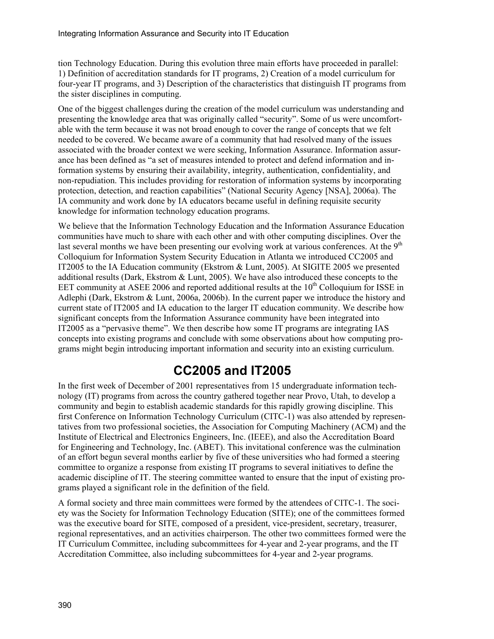tion Technology Education. During this evolution three main efforts have proceeded in parallel: 1) Definition of accreditation standards for IT programs, 2) Creation of a model curriculum for four-year IT programs, and 3) Description of the characteristics that distinguish IT programs from the sister disciplines in computing.

One of the biggest challenges during the creation of the model curriculum was understanding and presenting the knowledge area that was originally called "security". Some of us were uncomfortable with the term because it was not broad enough to cover the range of concepts that we felt needed to be covered. We became aware of a community that had resolved many of the issues associated with the broader context we were seeking, Information Assurance. Information assurance has been defined as "a set of measures intended to protect and defend information and information systems by ensuring their availability, integrity, authentication, confidentiality, and non-repudiation. This includes providing for restoration of information systems by incorporating protection, detection, and reaction capabilities" (National Security Agency [NSA], 2006a). The IA community and work done by IA educators became useful in defining requisite security knowledge for information technology education programs.

We believe that the Information Technology Education and the Information Assurance Education communities have much to share with each other and with other computing disciplines. Over the last several months we have been presenting our evolving work at various conferences. At the  $9<sup>th</sup>$ Colloquium for Information System Security Education in Atlanta we introduced CC2005 and IT2005 to the IA Education community (Ekstrom & Lunt, 2005). At SIGITE 2005 we presented additional results (Dark, Ekstrom & Lunt, 2005). We have also introduced these concepts to the EET community at ASEE 2006 and reported additional results at the  $10<sup>th</sup>$  Colloquium for ISSE in Adlephi (Dark, Ekstrom & Lunt, 2006a, 2006b). In the current paper we introduce the history and current state of IT2005 and IA education to the larger IT education community. We describe how significant concepts from the Information Assurance community have been integrated into IT2005 as a "pervasive theme". We then describe how some IT programs are integrating IAS concepts into existing programs and conclude with some observations about how computing programs might begin introducing important information and security into an existing curriculum.

# **CC2005 and IT2005**

In the first week of December of 2001 representatives from 15 undergraduate information technology (IT) programs from across the country gathered together near Provo, Utah, to develop a community and begin to establish academic standards for this rapidly growing discipline. This first Conference on Information Technology Curriculum (CITC-1) was also attended by representatives from two professional societies, the Association for Computing Machinery (ACM) and the Institute of Electrical and Electronics Engineers, Inc. (IEEE), and also the Accreditation Board for Engineering and Technology, Inc. (ABET). This invitational conference was the culmination of an effort begun several months earlier by five of these universities who had formed a steering committee to organize a response from existing IT programs to several initiatives to define the academic discipline of IT. The steering committee wanted to ensure that the input of existing programs played a significant role in the definition of the field.

A formal society and three main committees were formed by the attendees of CITC-1. The society was the Society for Information Technology Education (SITE); one of the committees formed was the executive board for SITE, composed of a president, vice-president, secretary, treasurer, regional representatives, and an activities chairperson. The other two committees formed were the IT Curriculum Committee, including subcommittees for 4-year and 2-year programs, and the IT Accreditation Committee, also including subcommittees for 4-year and 2-year programs.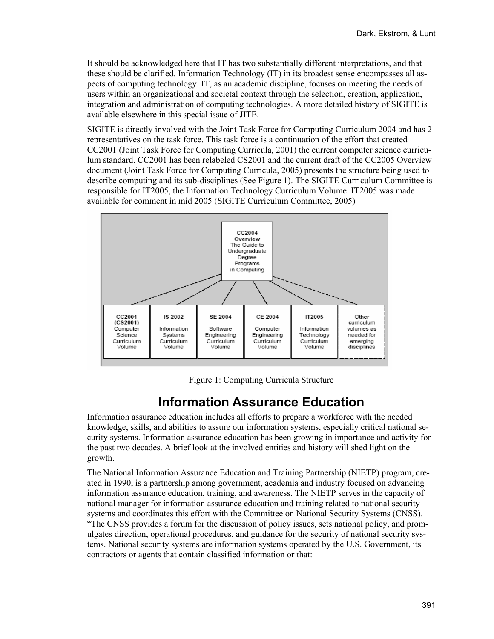It should be acknowledged here that IT has two substantially different interpretations, and that these should be clarified. Information Technology (IT) in its broadest sense encompasses all aspects of computing technology. IT, as an academic discipline, focuses on meeting the needs of users within an organizational and societal context through the selection, creation, application, integration and administration of computing technologies. A more detailed history of SIGITE is available elsewhere in this special issue of JITE.

SIGITE is directly involved with the Joint Task Force for Computing Curriculum 2004 and has 2 representatives on the task force. This task force is a continuation of the effort that created CC2001 (Joint Task Force for Computing Curricula, 2001) the current computer science curriculum standard. CC2001 has been relabeled CS2001 and the current draft of the CC2005 Overview document (Joint Task Force for Computing Curricula, 2005) presents the structure being used to describe computing and its sub-disciplines (See Figure 1). The SIGITE Curriculum Committee is responsible for IT2005, the Information Technology Curriculum Volume. IT2005 was made available for comment in mid 2005 (SIGITE Curriculum Committee, 2005)



Figure 1: Computing Curricula Structure

# **Information Assurance Education**

Information assurance education includes all efforts to prepare a workforce with the needed knowledge, skills, and abilities to assure our information systems, especially critical national security systems. Information assurance education has been growing in importance and activity for the past two decades. A brief look at the involved entities and history will shed light on the growth.

The National Information Assurance Education and Training Partnership (NIETP) program, created in 1990, is a partnership among government, academia and industry focused on advancing information assurance education, training, and awareness. The NIETP serves in the capacity of national manager for information assurance education and training related to national security systems and coordinates this effort with the Committee on National Security Systems (CNSS). "The CNSS provides a forum for the discussion of policy issues, sets national policy, and promulgates direction, operational procedures, and guidance for the security of national security systems. National security systems are information systems operated by the U.S. Government, its contractors or agents that contain classified information or that: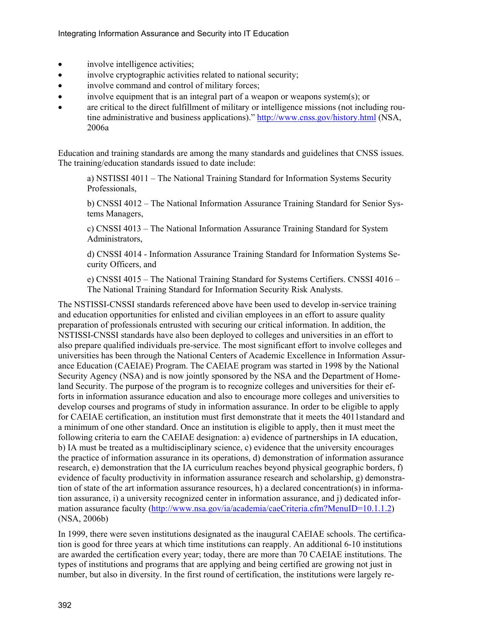- involve intelligence activities;
- involve cryptographic activities related to national security;
- involve command and control of military forces:
- involve equipment that is an integral part of a weapon or weapons system(s); or
- are critical to the direct fulfillment of military or intelligence missions (not including routine administrative and business applications)." <http://www.cnss.gov/history.html>(NSA, 2006a

Education and training standards are among the many standards and guidelines that CNSS issues. The training/education standards issued to date include:

a) NSTISSI 4011 – The National Training Standard for Information Systems Security Professionals,

b) CNSSI 4012 – The National Information Assurance Training Standard for Senior Systems Managers,

c) CNSSI 4013 – The National Information Assurance Training Standard for System Administrators,

d) CNSSI 4014 - Information Assurance Training Standard for Information Systems Security Officers, and

e) CNSSI 4015 – The National Training Standard for Systems Certifiers. CNSSI 4016 – The National Training Standard for Information Security Risk Analysts.

The NSTISSI-CNSSI standards referenced above have been used to develop in-service training and education opportunities for enlisted and civilian employees in an effort to assure quality preparation of professionals entrusted with securing our critical information. In addition, the NSTISSI-CNSSI standards have also been deployed to colleges and universities in an effort to also prepare qualified individuals pre-service. The most significant effort to involve colleges and universities has been through the National Centers of Academic Excellence in Information Assurance Education (CAEIAE) Program. The CAEIAE program was started in 1998 by the National Security Agency (NSA) and is now jointly sponsored by the NSA and the Department of Homeland Security. The purpose of the program is to recognize colleges and universities for their efforts in information assurance education and also to encourage more colleges and universities to develop courses and programs of study in information assurance. In order to be eligible to apply for CAEIAE certification, an institution must first demonstrate that it meets the 4011 standard and a minimum of one other standard. Once an institution is eligible to apply, then it must meet the following criteria to earn the CAEIAE designation: a) evidence of partnerships in IA education, b) IA must be treated as a multidisciplinary science, c) evidence that the university encourages the practice of information assurance in its operations, d) demonstration of information assurance research, e) demonstration that the IA curriculum reaches beyond physical geographic borders, f) evidence of faculty productivity in information assurance research and scholarship, g) demonstration of state of the art information assurance resources, h) a declared concentration(s) in information assurance, i) a university recognized center in information assurance, and j) dedicated information assurance faculty ([http://www.nsa.gov/ia/academia/caeCriteria.cfm?MenuID=10.1.1.2\)](http://www.nsa.gov/ia/academia/caeCriteria.cfm?MenuID=10.1.1.2) (NSA, 2006b)

In 1999, there were seven institutions designated as the inaugural CAEIAE schools. The certification is good for three years at which time institutions can reapply. An additional 6-10 institutions are awarded the certification every year; today, there are more than 70 CAEIAE institutions. The types of institutions and programs that are applying and being certified are growing not just in number, but also in diversity. In the first round of certification, the institutions were largely re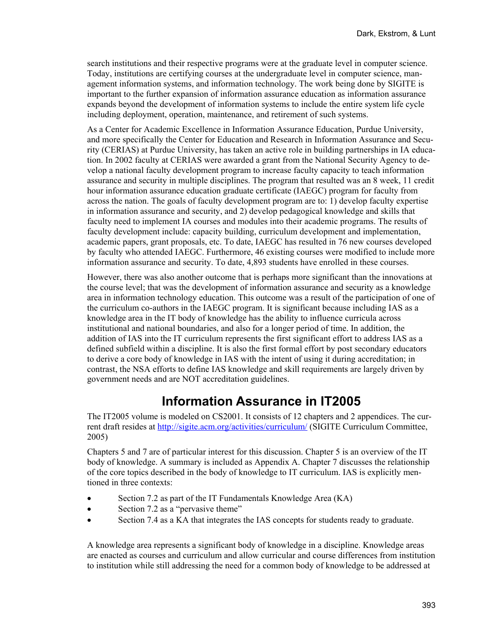search institutions and their respective programs were at the graduate level in computer science. Today, institutions are certifying courses at the undergraduate level in computer science, management information systems, and information technology. The work being done by SIGITE is important to the further expansion of information assurance education as information assurance expands beyond the development of information systems to include the entire system life cycle including deployment, operation, maintenance, and retirement of such systems.

As a Center for Academic Excellence in Information Assurance Education, Purdue University, and more specifically the Center for Education and Research in Information Assurance and Security (CERIAS) at Purdue University, has taken an active role in building partnerships in IA education. In 2002 faculty at CERIAS were awarded a grant from the National Security Agency to develop a national faculty development program to increase faculty capacity to teach information assurance and security in multiple disciplines. The program that resulted was an 8 week, 11 credit hour information assurance education graduate certificate (IAEGC) program for faculty from across the nation. The goals of faculty development program are to: 1) develop faculty expertise in information assurance and security, and 2) develop pedagogical knowledge and skills that faculty need to implement IA courses and modules into their academic programs. The results of faculty development include: capacity building, curriculum development and implementation, academic papers, grant proposals, etc. To date, IAEGC has resulted in 76 new courses developed by faculty who attended IAEGC. Furthermore, 46 existing courses were modified to include more information assurance and security. To date, 4,893 students have enrolled in these courses.

However, there was also another outcome that is perhaps more significant than the innovations at the course level; that was the development of information assurance and security as a knowledge area in information technology education. This outcome was a result of the participation of one of the curriculum co-authors in the IAEGC program. It is significant because including IAS as a knowledge area in the IT body of knowledge has the ability to influence curricula across institutional and national boundaries, and also for a longer period of time. In addition, the addition of IAS into the IT curriculum represents the first significant effort to address IAS as a defined subfield within a discipline. It is also the first formal effort by post secondary educators to derive a core body of knowledge in IAS with the intent of using it during accreditation; in contrast, the NSA efforts to define IAS knowledge and skill requirements are largely driven by government needs and are NOT accreditation guidelines.

## **Information Assurance in IT2005**

The IT2005 volume is modeled on CS2001. It consists of 12 chapters and 2 appendices. The current draft resides at [http://sigite.acm.org/activities/curriculum/ \(](http://sigite.acm.org/activities/curriculum/)SIGITE Curriculum Committee, 2005)

Chapters 5 and 7 are of particular interest for this discussion. Chapter 5 is an overview of the IT body of knowledge. A summary is included as Appendix A. Chapter 7 discusses the relationship of the core topics described in the body of knowledge to IT curriculum. IAS is explicitly mentioned in three contexts:

- Section 7.2 as part of the IT Fundamentals Knowledge Area (KA)
- Section 7.2 as a "pervasive theme"
- Section 7.4 as a KA that integrates the IAS concepts for students ready to graduate.

A knowledge area represents a significant body of knowledge in a discipline. Knowledge areas are enacted as courses and curriculum and allow curricular and course differences from institution to institution while still addressing the need for a common body of knowledge to be addressed at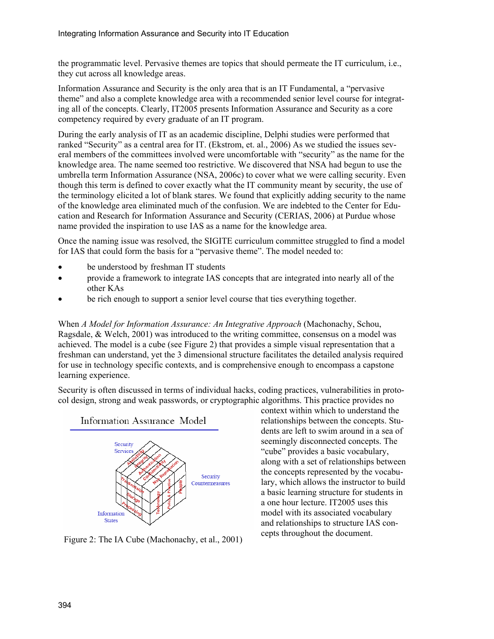the programmatic level. Pervasive themes are topics that should permeate the IT curriculum, i.e., they cut across all knowledge areas.

Information Assurance and Security is the only area that is an IT Fundamental, a "pervasive theme" and also a complete knowledge area with a recommended senior level course for integrating all of the concepts. Clearly, IT2005 presents Information Assurance and Security as a core competency required by every graduate of an IT program.

During the early analysis of IT as an academic discipline, Delphi studies were performed that ranked "Security" as a central area for IT. (Ekstrom, et. al., 2006) As we studied the issues several members of the committees involved were uncomfortable with "security" as the name for the knowledge area. The name seemed too restrictive. We discovered that NSA had begun to use the umbrella term Information Assurance (NSA, 2006c) to cover what we were calling security. Even though this term is defined to cover exactly what the IT community meant by security, the use of the terminology elicited a lot of blank stares. We found that explicitly adding security to the name of the knowledge area eliminated much of the confusion. We are indebted to the Center for Education and Research for Information Assurance and Security (CERIAS, 2006) at Purdue whose name provided the inspiration to use IAS as a name for the knowledge area.

Once the naming issue was resolved, the SIGITE curriculum committee struggled to find a model for IAS that could form the basis for a "pervasive theme". The model needed to:

- be understood by freshman IT students
- provide a framework to integrate IAS concepts that are integrated into nearly all of the other KAs
- be rich enough to support a senior level course that ties everything together.

When *A Model for Information Assurance: An Integrative Approach* (Machonachy, Schou, Ragsdale, & Welch, 2001) was introduced to the writing committee, consensus on a model was achieved. The model is a cube (see Figure 2) that provides a simple visual representation that a freshman can understand, yet the 3 dimensional structure facilitates the detailed analysis required for use in technology specific contexts, and is comprehensive enough to encompass a capstone learning experience.

Security is often discussed in terms of individual hacks, coding practices, vulnerabilities in protocol design, strong and weak passwords, or cryptographic algorithms. This practice provides no



Figure 2: The IA Cube (Machonachy, et al., 2001) cepts throughout the document.

context within which to understand the relationships between the concepts. Students are left to swim around in a sea of seemingly disconnected concepts. The "cube" provides a basic vocabulary, along with a set of relationships between the concepts represented by the vocabulary, which allows the instructor to build a basic learning structure for students in a one hour lecture. IT2005 uses this model with its associated vocabulary and relationships to structure IAS con-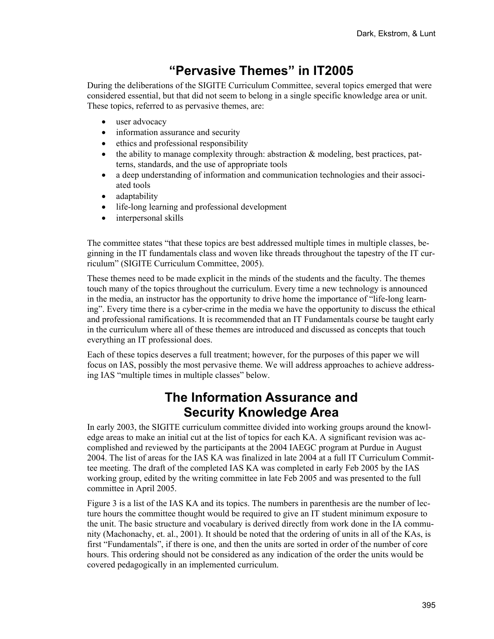## **"Pervasive Themes" in IT2005**

During the deliberations of the SIGITE Curriculum Committee, several topics emerged that were considered essential, but that did not seem to belong in a single specific knowledge area or unit. These topics, referred to as pervasive themes, are:

- user advocacy
- information assurance and security
- ethics and professional responsibility
- the ability to manage complexity through: abstraction & modeling, best practices, patterns, standards, and the use of appropriate tools
- a deep understanding of information and communication technologies and their associated tools
- adaptability
- life-long learning and professional development
- interpersonal skills

The committee states "that these topics are best addressed multiple times in multiple classes, beginning in the IT fundamentals class and woven like threads throughout the tapestry of the IT curriculum" (SIGITE Curriculum Committee, 2005).

These themes need to be made explicit in the minds of the students and the faculty. The themes touch many of the topics throughout the curriculum. Every time a new technology is announced in the media, an instructor has the opportunity to drive home the importance of "life-long learning". Every time there is a cyber-crime in the media we have the opportunity to discuss the ethical and professional ramifications. It is recommended that an IT Fundamentals course be taught early in the curriculum where all of these themes are introduced and discussed as concepts that touch everything an IT professional does.

Each of these topics deserves a full treatment; however, for the purposes of this paper we will focus on IAS, possibly the most pervasive theme. We will address approaches to achieve addressing IAS "multiple times in multiple classes" below.

## **The Information Assurance and Security Knowledge Area**

In early 2003, the SIGITE curriculum committee divided into working groups around the knowledge areas to make an initial cut at the list of topics for each KA. A significant revision was accomplished and reviewed by the participants at the 2004 IAEGC program at Purdue in August 2004. The list of areas for the IAS KA was finalized in late 2004 at a full IT Curriculum Committee meeting. The draft of the completed IAS KA was completed in early Feb 2005 by the IAS working group, edited by the writing committee in late Feb 2005 and was presented to the full committee in April 2005.

Figure 3 is a list of the IAS KA and its topics. The numbers in parenthesis are the number of lecture hours the committee thought would be required to give an IT student minimum exposure to the unit. The basic structure and vocabulary is derived directly from work done in the IA community (Machonachy, et. al., 2001). It should be noted that the ordering of units in all of the KAs, is first "Fundamentals", if there is one, and then the units are sorted in order of the number of core hours. This ordering should not be considered as any indication of the order the units would be covered pedagogically in an implemented curriculum.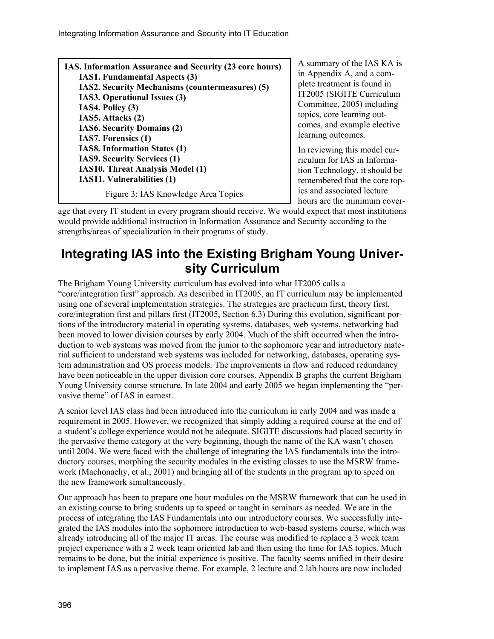| IAS. Information Assurance and Security (23 core hours) |          |
|---------------------------------------------------------|----------|
| <b>IAS1. Fundamental Aspects (3)</b>                    | in App   |
| <b>IAS2. Security Mechanisms (countermeasures) (5)</b>  | plete ti |
| IAS3. Operational Issues (3)                            | IT200:   |
| IAS4. Policy (3)                                        | Comm     |
| IAS5. Attacks (2)                                       | topics,  |
| <b>IAS6. Security Domains (2)</b>                       | comes    |
| IAS7. Forensics (1)                                     |          |
| <b>IAS8. Information States (1)</b>                     | In revi  |
| <b>IAS9. Security Services (1)</b>                      | riculur  |
| <b>IAS10. Threat Analysis Model (1)</b>                 | tion To  |
| <b>IAS11. Vulnerabilities (1)</b>                       | remen    |
| Figure 3: IAS Knowledge Area Topics                     | ics and  |

 $\mu$  mary of the IAS KA is endix A, and a comreatment is found in 5 (SIGITE Curriculum nittee,  $2005$ ) including core learning outand example elective ng outcomes.

iewing this model curm for IAS in Informaechnology, it should be hered that the core topd associated lecture hours are the minimum cover-

age that every IT student in every program should receive. We would expect that most institutions would provide additional instruction in Information Assurance and Security according to the strengths/areas of specialization in their programs of study.

## **Integrating IAS into the Existing Brigham Young University Curriculum**

The Brigham Young University curriculum has evolved into what IT2005 calls a "core/integration first" approach. As described in IT2005, an IT curriculum may be implemented using one of several implementation strategies. The strategies are practicum first, theory first, core/integration first and pillars first (IT2005, Section 6.3) During this evolution, significant portions of the introductory material in operating systems, databases, web systems, networking had been moved to lower division courses by early 2004. Much of the shift occurred when the introduction to web systems was moved from the junior to the sophomore year and introductory material sufficient to understand web systems was included for networking, databases, operating system administration and OS process models. The improvements in flow and reduced redundancy have been noticeable in the upper division core courses. Appendix B graphs the current Brigham Young University course structure. In late 2004 and early 2005 we began implementing the "pervasive theme" of IAS in earnest.

A senior level IAS class had been introduced into the curriculum in early 2004 and was made a requirement in 2005. However, we recognized that simply adding a required course at the end of a student's college experience would not be adequate. SIGITE discussions had placed security in the pervasive theme category at the very beginning, though the name of the KA wasn't chosen until 2004. We were faced with the challenge of integrating the IAS fundamentals into the introductory courses, morphing the security modules in the existing classes to use the MSRW framework (Machonachy, et al., 2001) and bringing all of the students in the program up to speed on the new framework simultaneously.

Our approach has been to prepare one hour modules on the MSRW framework that can be used in an existing course to bring students up to speed or taught in seminars as needed. We are in the process of integrating the IAS Fundamentals into our introductory courses. We successfully integrated the IAS modules into the sophomore introduction to web-based systems course, which was already introducing all of the major IT areas. The course was modified to replace a 3 week team project experience with a 2 week team oriented lab and then using the time for IAS topics. Much remains to be done, but the initial experience is positive. The faculty seems unified in their desire to implement IAS as a pervasive theme. For example, 2 lecture and 2 lab hours are now included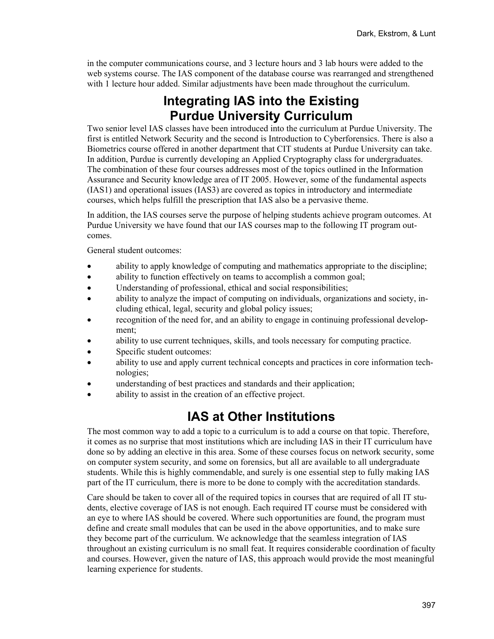in the computer communications course, and 3 lecture hours and 3 lab hours were added to the web systems course. The IAS component of the database course was rearranged and strengthened with 1 lecture hour added. Similar adjustments have been made throughout the curriculum.

# **Integrating IAS into the Existing Purdue University Curriculum**

Two senior level IAS classes have been introduced into the curriculum at Purdue University. The first is entitled Network Security and the second is Introduction to Cyberforensics. There is also a Biometrics course offered in another department that CIT students at Purdue University can take. In addition, Purdue is currently developing an Applied Cryptography class for undergraduates. The combination of these four courses addresses most of the topics outlined in the Information Assurance and Security knowledge area of IT 2005. However, some of the fundamental aspects (IAS1) and operational issues (IAS3) are covered as topics in introductory and intermediate courses, which helps fulfill the prescription that IAS also be a pervasive theme.

In addition, the IAS courses serve the purpose of helping students achieve program outcomes. At Purdue University we have found that our IAS courses map to the following IT program outcomes.

General student outcomes:

- ability to apply knowledge of computing and mathematics appropriate to the discipline;
- ability to function effectively on teams to accomplish a common goal;
- Understanding of professional, ethical and social responsibilities;
- ability to analyze the impact of computing on individuals, organizations and society, including ethical, legal, security and global policy issues;
- recognition of the need for, and an ability to engage in continuing professional development;
- ability to use current techniques, skills, and tools necessary for computing practice.
- Specific student outcomes:
- ability to use and apply current technical concepts and practices in core information technologies;
- understanding of best practices and standards and their application;
- ability to assist in the creation of an effective project.

## **IAS at Other Institutions**

The most common way to add a topic to a curriculum is to add a course on that topic. Therefore, it comes as no surprise that most institutions which are including IAS in their IT curriculum have done so by adding an elective in this area. Some of these courses focus on network security, some on computer system security, and some on forensics, but all are available to all undergraduate students. While this is highly commendable, and surely is one essential step to fully making IAS part of the IT curriculum, there is more to be done to comply with the accreditation standards.

Care should be taken to cover all of the required topics in courses that are required of all IT students, elective coverage of IAS is not enough. Each required IT course must be considered with an eye to where IAS should be covered. Where such opportunities are found, the program must define and create small modules that can be used in the above opportunities, and to make sure they become part of the curriculum. We acknowledge that the seamless integration of IAS throughout an existing curriculum is no small feat. It requires considerable coordination of faculty and courses. However, given the nature of IAS, this approach would provide the most meaningful learning experience for students.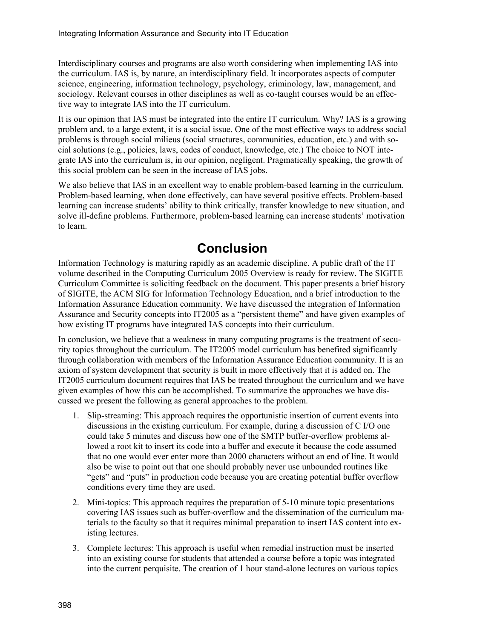Interdisciplinary courses and programs are also worth considering when implementing IAS into the curriculum. IAS is, by nature, an interdisciplinary field. It incorporates aspects of computer science, engineering, information technology, psychology, criminology, law, management, and sociology. Relevant courses in other disciplines as well as co-taught courses would be an effective way to integrate IAS into the IT curriculum.

It is our opinion that IAS must be integrated into the entire IT curriculum. Why? IAS is a growing problem and, to a large extent, it is a social issue. One of the most effective ways to address social problems is through social milieus (social structures, communities, education, etc.) and with social solutions (e.g., policies, laws, codes of conduct, knowledge, etc.) The choice to NOT integrate IAS into the curriculum is, in our opinion, negligent. Pragmatically speaking, the growth of this social problem can be seen in the increase of IAS jobs.

We also believe that IAS in an excellent way to enable problem-based learning in the curriculum. Problem-based learning, when done effectively, can have several positive effects. Problem-based learning can increase students' ability to think critically, transfer knowledge to new situation, and solve ill-define problems. Furthermore, problem-based learning can increase students' motivation to learn.

## **Conclusion**

Information Technology is maturing rapidly as an academic discipline. A public draft of the IT volume described in the Computing Curriculum 2005 Overview is ready for review. The SIGITE Curriculum Committee is soliciting feedback on the document. This paper presents a brief history of SIGITE, the ACM SIG for Information Technology Education, and a brief introduction to the Information Assurance Education community. We have discussed the integration of Information Assurance and Security concepts into IT2005 as a "persistent theme" and have given examples of how existing IT programs have integrated IAS concepts into their curriculum.

In conclusion, we believe that a weakness in many computing programs is the treatment of security topics throughout the curriculum. The IT2005 model curriculum has benefited significantly through collaboration with members of the Information Assurance Education community. It is an axiom of system development that security is built in more effectively that it is added on. The IT2005 curriculum document requires that IAS be treated throughout the curriculum and we have given examples of how this can be accomplished. To summarize the approaches we have discussed we present the following as general approaches to the problem.

- 1. Slip-streaming: This approach requires the opportunistic insertion of current events into discussions in the existing curriculum. For example, during a discussion of C I/O one could take 5 minutes and discuss how one of the SMTP buffer-overflow problems allowed a root kit to insert its code into a buffer and execute it because the code assumed that no one would ever enter more than 2000 characters without an end of line. It would also be wise to point out that one should probably never use unbounded routines like "gets" and "puts" in production code because you are creating potential buffer overflow conditions every time they are used.
- 2. Mini-topics: This approach requires the preparation of 5-10 minute topic presentations covering IAS issues such as buffer-overflow and the dissemination of the curriculum materials to the faculty so that it requires minimal preparation to insert IAS content into existing lectures.
- 3. Complete lectures: This approach is useful when remedial instruction must be inserted into an existing course for students that attended a course before a topic was integrated into the current perquisite. The creation of 1 hour stand-alone lectures on various topics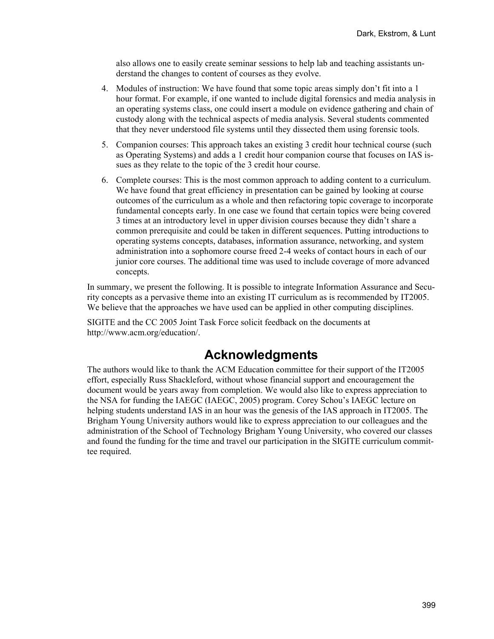also allows one to easily create seminar sessions to help lab and teaching assistants understand the changes to content of courses as they evolve.

- 4. Modules of instruction: We have found that some topic areas simply don't fit into a 1 hour format. For example, if one wanted to include digital forensics and media analysis in an operating systems class, one could insert a module on evidence gathering and chain of custody along with the technical aspects of media analysis. Several students commented that they never understood file systems until they dissected them using forensic tools.
- 5. Companion courses: This approach takes an existing 3 credit hour technical course (such as Operating Systems) and adds a 1 credit hour companion course that focuses on IAS issues as they relate to the topic of the 3 credit hour course.
- 6. Complete courses: This is the most common approach to adding content to a curriculum. We have found that great efficiency in presentation can be gained by looking at course outcomes of the curriculum as a whole and then refactoring topic coverage to incorporate fundamental concepts early. In one case we found that certain topics were being covered 3 times at an introductory level in upper division courses because they didn't share a common prerequisite and could be taken in different sequences. Putting introductions to operating systems concepts, databases, information assurance, networking, and system administration into a sophomore course freed 2-4 weeks of contact hours in each of our junior core courses. The additional time was used to include coverage of more advanced concepts.

In summary, we present the following. It is possible to integrate Information Assurance and Security concepts as a pervasive theme into an existing IT curriculum as is recommended by IT2005. We believe that the approaches we have used can be applied in other computing disciplines.

SIGITE and the CC 2005 Joint Task Force solicit feedback on the documents at http://www.acm.org/education/.

## **Acknowledgments**

The authors would like to thank the ACM Education committee for their support of the IT2005 effort, especially Russ Shackleford, without whose financial support and encouragement the document would be years away from completion. We would also like to express appreciation to the NSA for funding the IAEGC (IAEGC, 2005) program. Corey Schou's IAEGC lecture on helping students understand IAS in an hour was the genesis of the IAS approach in IT2005. The Brigham Young University authors would like to express appreciation to our colleagues and the administration of the School of Technology Brigham Young University, who covered our classes and found the funding for the time and travel our participation in the SIGITE curriculum committee required.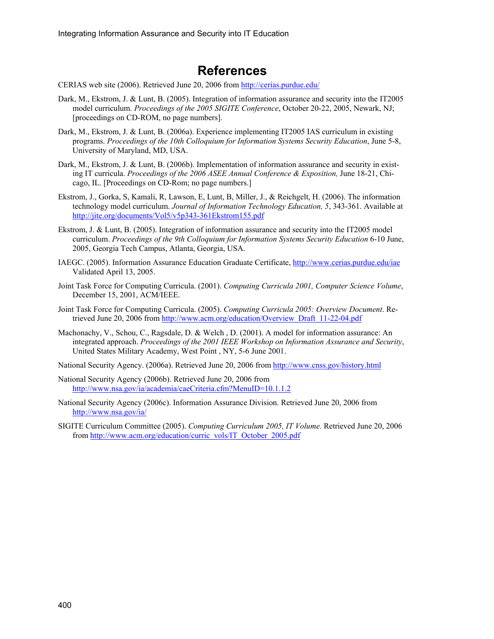## **References**

CERIAS web site (2006). Retrieved June 20, 2006 from <http://cerias.purdue.edu/>

- Dark, M., Ekstrom, J. & Lunt, B. (2005). Integration of information assurance and security into the IT2005 model curriculum. *Proceedings of the 2005 SIGITE Conference*, October 20-22, 2005, Newark, NJ; [proceedings on CD-ROM, no page numbers].
- Dark, M., Ekstrom, J. & Lunt, B. (2006a). Experience implementing IT2005 IAS curriculum in existing programs. *Proceedings of the 10th Colloquium for Information Systems Security Education*, June 5-8, University of Maryland, MD, USA.
- Dark, M., Ekstrom, J. & Lunt, B. (2006b). Implementation of information assurance and security in existing IT curricula. *Proceedings of the 2006 ASEE Annual Conference & Exposition,* June 18-21, Chicago, IL. [Proceedings on CD-Rom; no page numbers.]
- Ekstrom, J., Gorka, S, Kamali, R, Lawson, E, Lunt, B, Miller, J., & Reichgelt, H. (2006). The information technology model curriculum. *Journal of Information Technology Education, 5*, 343-361. Available at <http://jite.org/documents/Vol5/v5p343-361Ekstrom155.pdf>
- Ekstrom, J. & Lunt, B. (2005). Integration of information assurance and security into the IT2005 model curriculum. *Proceedings of the 9th Colloquium for Information Systems Security Education* 6-10 June, 2005, Georgia Tech Campus, Atlanta, Georgia, USA.
- IAEGC. (2005). Information Assurance Education Graduate Certificate,<http://www.cerias.purdue.edu/iae> Validated April 13, 2005.
- Joint Task Force for Computing Curricula. (2001). *Computing Curricula 2001, Computer Science Volume*, December 15, 2001, ACM/IEEE.
- Joint Task Force for Computing Curricula. (2005). *Computing Curricula 2005: Overview Document*. Retrieved June 20, 2006 from [http://www.acm.org/education/Overview\\_Draft\\_11-22-04.pdf](http://www.acm.org/education/Overview_Draft_11-22-04.pdf)
- Machonachy, V., Schou, C., Ragsdale, D. & Welch , D. (2001). A model for information assurance: An integrated approach. *Proceedings of the 2001 IEEE Workshop on Information Assurance and Security*, United States Military Academy, West Point , NY, 5-6 June 2001.
- National Security Agency. (2006a). Retrieved June 20, 2006 from <http://www.cnss.gov/history.html>
- National Security Agency (2006b). Retrieved June 20, 2006 from <http://www.nsa.gov/ia/academia/caeCriteria.cfm?MenuID=10.1.1.2>
- National Security Agency (2006c). Information Assurance Division. Retrieved June 20, 2006 from <http://www.nsa.gov/ia/>
- SIGITE Curriculum Committee (2005). *Computing Curriculum 2005, IT Volume.* Retrieved June 20, 2006 from [http://www.acm.org/education/curric\\_vols/IT\\_October\\_2005.pdf](http://www.acm.org/education/curric_vols/IT_October_2005.pdf)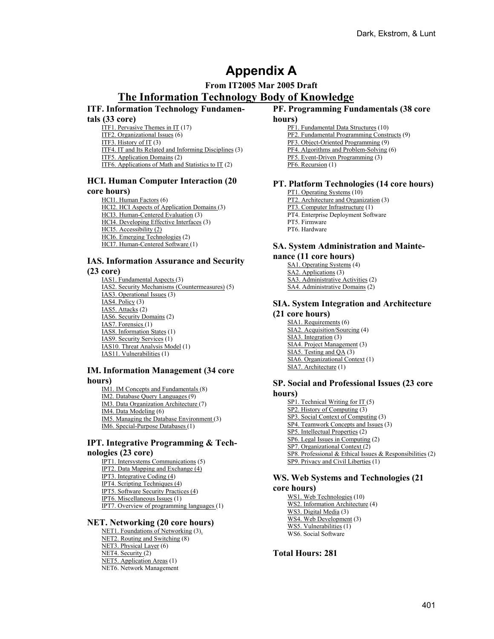# **Appendix A**

## **From IT2005 Mar 2005 Draft The Information Technology Body of Knowledge**

### **ITF. Information Technology Fundamen-**

#### **tals (33 core)**

ITF1. Pervasive Themes in IT (17) ITF2. Organizational Issues (6) ITF3. History of IT (3) ITF4. IT and Its Related and Informing Disciplines (3) ITF5. Application Domains (2) ITF6. Applications of Math and Statistics to IT (2)

### **HCI. Human Computer Interaction (20**

#### **core hours)**

HCI1. Human Factors (6) HCI2. HCI Aspects of Application Domains (3) HCI3. Human-Centered Evaluation (3) HCI4. Developing Effective Interfaces (3) HCI5. Accessibility (2) HCI6. Emerging Technologies (2) HCI7. Human-Centered Software (1)

### **IAS. Information Assurance and Security**

#### **(23 core)**

IAS1. Fundamental Aspects (3) IAS2. Security Mechanisms (Countermeasures) (5) IAS3. Operational Issues (3) IAS4. Policy (3) IAS5. Attacks (2) IAS6. Security Domains (2) IAS7. Forensics (1) IAS8. Information States (1) IAS9. Security Services (1) IAS10. Threat Analysis Model (1) IAS11. Vulnerabilities (1)

#### **IM. Information Management (34 core hours)**

#### IM1. IM Concepts and Fundamentals (8) IM2. Database Query Languages (9)

IM3. Data Organization Architecture (7)

IM4. Data Modeling (6)

IM5. Managing the Database Environment (3)

IM6. Special-Purpose Databases (1)

### **IPT. Integrative Programming & Technologies (23 core)**

IPT1. Intersystems Communications (5) IPT2. Data Mapping and Exchange (4) IPT3. Integrative Coding (4) IPT4. Scripting Techniques (4) IPT5. Software Security Practices (4) IPT6. Miscellaneous Issues (1) IPT7. Overview of programming languages (1)

### **NET. Networking (20 core hours)**

NET1. Foundations of Networking (3). NET2. Routing and Switching (8) NET3. Physical Layer (6) NET4. Security (2) NET5. Application Areas (1) NET6. Network Management

### **PF. Programming Fundamentals (38 core**

#### **hours)**

PF1. Fundamental Data Structures (10) PF2. Fundamental Programming Constructs (9) PF3. Object-Oriented Programming (9) PF4. Algorithms and Problem-Solving (6) PF5. Event-Driven Programming (3) PF6. Recursion (1)

### **PT. Platform Technologies (14 core hours)**

PT1. Operating Systems (10) PT2. Architecture and Organization (3) PT3. Computer Infrastructure (1) PT4. Enterprise Deployment Software PT5. Firmware PT6. Hardware

## **SA. System Administration and Mainte-**

#### **nance (11 core hours)**

SA1. Operating Systems (4) SA2. Applications (3) SA3. Administrative Activities (2) SA4. Administrative Domains (2)

### **SIA. System Integration and Architecture (21 core hours)**

SIA1. Requirements (6) SIA2. Acquisition/Sourcing (4)  $\overline{SIA3}$ . Integration (3) SIA4. Project Management (3) SIA5. Testing and QA (3) SIA6. Organizational Context (1) SIA7. Architecture (1)

### **SP. Social and Professional Issues (23 core hours)**

SP1. Technical Writing for IT (5) SP2. History of Computing (3) SP3. Social Context of Computing (3) SP4. Teamwork Concepts and Issues (3) SP5. Intellectual Properties (2) SP6. Legal Issues in Computing (2) SP7. Organizational Context (2) SP8. Professional & Ethical Issues & Responsibilities (2) SP9. Privacy and Civil Liberties (1)

## **WS. Web Systems and Technologies (21**

#### **core hours)**

WS1. Web Technologies (10) WS2. Information Architecture (4) WS3. Digital Media (3) WS4. Web Development (3) WS5. Vulnerabilities (1) WS6. Social Software

**Total Hours: 281**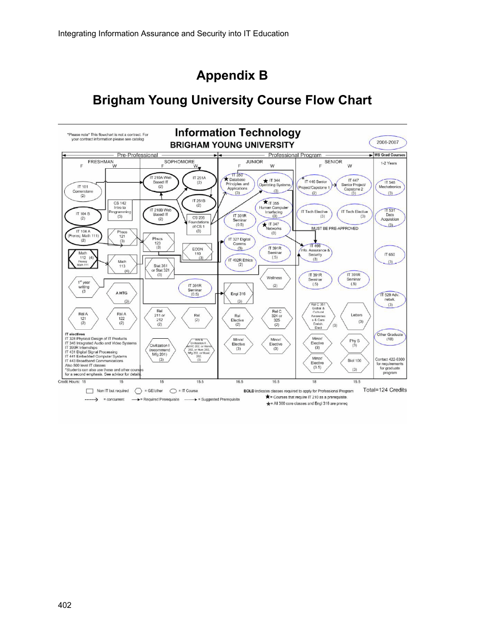# **Appendix B**